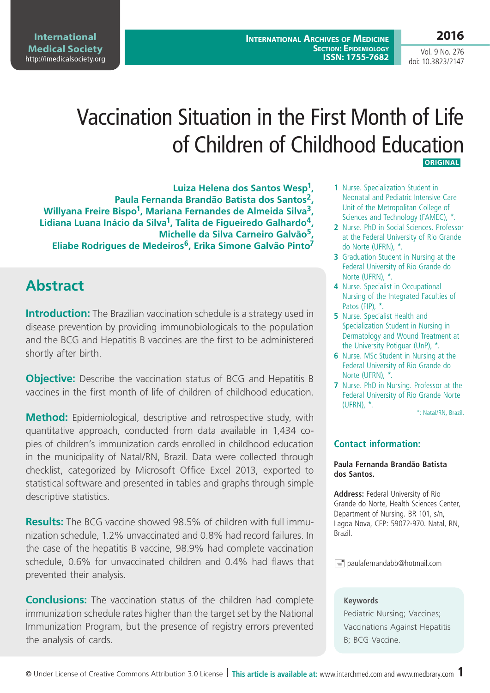**Medical Society**  http://imedicalsociety.org

**International** 

Vol. 9 No. 276 doi: 10.3823/2147

**2016**

# Vaccination Situation in the First Month of Life of Children of Childhood Education  **ORIGINAL**

**Luiza Helena dos Santos Wesp1, Paula Fernanda Brandão Batista dos Santos2,**  Willyana Freire Bispo<sup>1</sup>, Mariana Fernandes de Almeida Silva<sup>3</sup>, **Lidiana Luana Inácio da Silva1, Talita de Figueiredo Galhardo4, Michelle da Silva Carneiro Galvão5, Eliabe Rodrigues de Medeiros6, Erika Simone Galvão Pinto7**

## **Abstract**

**Introduction:** The Brazilian vaccination schedule is a strategy used in disease prevention by providing immunobiologicals to the population and the BCG and Hepatitis B vaccines are the first to be administered shortly after birth.

**Objective:** Describe the vaccination status of BCG and Hepatitis B vaccines in the first month of life of children of childhood education.

**Method:** Epidemiological, descriptive and retrospective study, with quantitative approach, conducted from data available in 1,434 copies of children's immunization cards enrolled in childhood education in the municipality of Natal/RN, Brazil. Data were collected through checklist, categorized by Microsoft Office Excel 2013, exported to statistical software and presented in tables and graphs through simple descriptive statistics.

**Results:** The BCG vaccine showed 98.5% of children with full immunization schedule, 1.2% unvaccinated and 0.8% had record failures. In the case of the hepatitis B vaccine, 98.9% had complete vaccination schedule, 0.6% for unvaccinated children and 0.4% had flaws that prevented their analysis.

**Conclusions:** The vaccination status of the children had complete immunization schedule rates higher than the target set by the National Immunization Program, but the presence of registry errors prevented the analysis of cards.

- **1** Nurse. Specialization Student in Neonatal and Pediatric Intensive Care Unit of the Metropolitan College of Sciences and Technology (FAMEC), \*.
- **2** Nurse. PhD in Social Sciences. Professor at the Federal University of Rio Grande do Norte (UFRN), \*.
- **3** Graduation Student in Nursing at the Federal University of Rio Grande do Norte (UFRN), \*.
- **4** Nurse. Specialist in Occupational Nursing of the Integrated Faculties of Patos (FIP), \*.
- **5** Nurse. Specialist Health and Specialization Student in Nursing in Dermatology and Wound Treatment at the University Potiguar (UnP), \*.
- **6** Nurse. MSc Student in Nursing at the Federal University of Rio Grande do Norte (UFRN), \*.
- **7** Nurse. PhD in Nursing. Professor at the Federal University of Rio Grande Norte (UFRN), \*.

\*: Natal/RN, Brazil.

#### **Contact information:**

#### **Paula Fernanda Brandão Batista dos Santos.**

**Address:** Federal University of Rio Grande do Norte, Health Sciences Center, Department of Nursing. BR 101, s/n, Lagoa Nova, CEP: 59072-970. Natal, RN, Brazil.

 $\equiv$  paulafernandabb@hotmail.com

#### **Keywords**

Pediatric Nursing; Vaccines; Vaccinations Against Hepatitis B; BCG Vaccine.

© Under License of Creative Commons Attribution 3.0 License **| This article is available at:** www.intarchmed.com and www.medbrary.com 1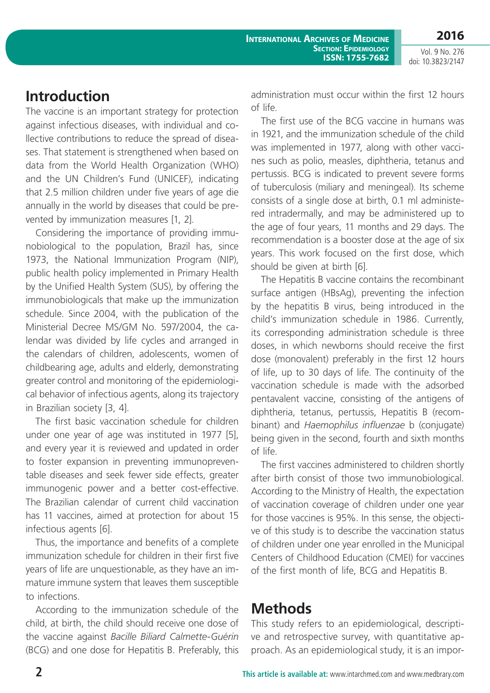## **Introduction**

The vaccine is an important strategy for protection against infectious diseases, with individual and collective contributions to reduce the spread of diseases. That statement is strengthened when based on data from the World Health Organization (WHO) and the UN Children's Fund (UNICEF), indicating that 2.5 million children under five years of age die annually in the world by diseases that could be prevented by immunization measures [1, 2].

Considering the importance of providing immunobiological to the population, Brazil has, since 1973, the National Immunization Program (NIP), public health policy implemented in Primary Health by the Unified Health System (SUS), by offering the immunobiologicals that make up the immunization schedule. Since 2004, with the publication of the Ministerial Decree MS/GM No. 597/2004, the calendar was divided by life cycles and arranged in the calendars of children, adolescents, women of childbearing age, adults and elderly, demonstrating greater control and monitoring of the epidemiological behavior of infectious agents, along its trajectory in Brazilian society [3, 4].

The first basic vaccination schedule for children under one year of age was instituted in 1977 [5], and every year it is reviewed and updated in order to foster expansion in preventing immunopreventable diseases and seek fewer side effects, greater immunogenic power and a better cost-effective. The Brazilian calendar of current child vaccination has 11 vaccines, aimed at protection for about 15 infectious agents [6].

Thus, the importance and benefits of a complete immunization schedule for children in their first five years of life are unquestionable, as they have an immature immune system that leaves them susceptible to infections.

According to the immunization schedule of the child, at birth, the child should receive one dose of the vaccine against *Bacille Biliard Calmette-Guérin* (BCG) and one dose for Hepatitis B. Preferably, this administration must occur within the first 12 hours of life.

The first use of the BCG vaccine in humans was in 1921, and the immunization schedule of the child was implemented in 1977, along with other vaccines such as polio, measles, diphtheria, tetanus and pertussis. BCG is indicated to prevent severe forms of tuberculosis (miliary and meningeal). Its scheme consists of a single dose at birth, 0.1 ml administered intradermally, and may be administered up to the age of four years, 11 months and 29 days. The recommendation is a booster dose at the age of six years. This work focused on the first dose, which should be given at birth [6].

The Hepatitis B vaccine contains the recombinant surface antigen (HBsAg), preventing the infection by the hepatitis B virus, being introduced in the child's immunization schedule in 1986. Currently, its corresponding administration schedule is three doses, in which newborns should receive the first dose (monovalent) preferably in the first 12 hours of life, up to 30 days of life. The continuity of the vaccination schedule is made with the adsorbed pentavalent vaccine, consisting of the antigens of diphtheria, tetanus, pertussis, Hepatitis B (recombinant) and *Haemophilus influenzae* b (conjugate) being given in the second, fourth and sixth months of life.

The first vaccines administered to children shortly after birth consist of those two immunobiological. According to the Ministry of Health, the expectation of vaccination coverage of children under one year for those vaccines is 95%. In this sense, the objective of this study is to describe the vaccination status of children under one year enrolled in the Municipal Centers of Childhood Education (CMEI) for vaccines of the first month of life, BCG and Hepatitis B.

### **Methods**

This study refers to an epidemiological, descriptive and retrospective survey, with quantitative approach. As an epidemiological study, it is an impor-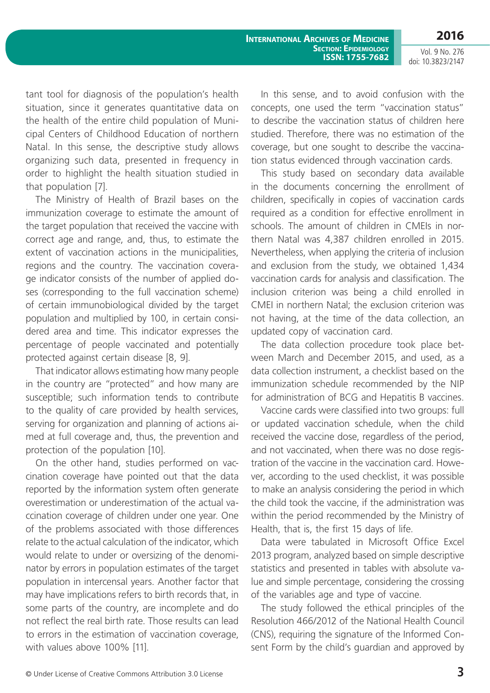**2016** Vol. 9 No. 276

doi: 10.3823/2147

tant tool for diagnosis of the population's health situation, since it generates quantitative data on the health of the entire child population of Municipal Centers of Childhood Education of northern Natal. In this sense, the descriptive study allows organizing such data, presented in frequency in order to highlight the health situation studied in that population [7].

The Ministry of Health of Brazil bases on the immunization coverage to estimate the amount of the target population that received the vaccine with correct age and range, and, thus, to estimate the extent of vaccination actions in the municipalities, regions and the country. The vaccination coverage indicator consists of the number of applied doses (corresponding to the full vaccination scheme) of certain immunobiological divided by the target population and multiplied by 100, in certain considered area and time. This indicator expresses the percentage of people vaccinated and potentially protected against certain disease [8, 9].

That indicator allows estimating how many people in the country are "protected" and how many are susceptible; such information tends to contribute to the quality of care provided by health services, serving for organization and planning of actions aimed at full coverage and, thus, the prevention and protection of the population [10].

On the other hand, studies performed on vaccination coverage have pointed out that the data reported by the information system often generate overestimation or underestimation of the actual vaccination coverage of children under one year. One of the problems associated with those differences relate to the actual calculation of the indicator, which would relate to under or oversizing of the denominator by errors in population estimates of the target population in intercensal years. Another factor that may have implications refers to birth records that, in some parts of the country, are incomplete and do not reflect the real birth rate. Those results can lead to errors in the estimation of vaccination coverage, with values above 100% [11].

In this sense, and to avoid confusion with the concepts, one used the term "vaccination status" to describe the vaccination status of children here studied. Therefore, there was no estimation of the coverage, but one sought to describe the vaccination status evidenced through vaccination cards.

This study based on secondary data available in the documents concerning the enrollment of children, specifically in copies of vaccination cards required as a condition for effective enrollment in schools. The amount of children in CMEIs in northern Natal was 4,387 children enrolled in 2015. Nevertheless, when applying the criteria of inclusion and exclusion from the study, we obtained 1,434 vaccination cards for analysis and classification. The inclusion criterion was being a child enrolled in CMEI in northern Natal; the exclusion criterion was not having, at the time of the data collection, an updated copy of vaccination card.

The data collection procedure took place between March and December 2015, and used, as a data collection instrument, a checklist based on the immunization schedule recommended by the NIP for administration of BCG and Hepatitis B vaccines.

Vaccine cards were classified into two groups: full or updated vaccination schedule, when the child received the vaccine dose, regardless of the period, and not vaccinated, when there was no dose registration of the vaccine in the vaccination card. However, according to the used checklist, it was possible to make an analysis considering the period in which the child took the vaccine, if the administration was within the period recommended by the Ministry of Health, that is, the first 15 days of life.

Data were tabulated in Microsoft Office Excel 2013 program, analyzed based on simple descriptive statistics and presented in tables with absolute value and simple percentage, considering the crossing of the variables age and type of vaccine.

The study followed the ethical principles of the Resolution 466/2012 of the National Health Council (CNS), requiring the signature of the Informed Consent Form by the child's guardian and approved by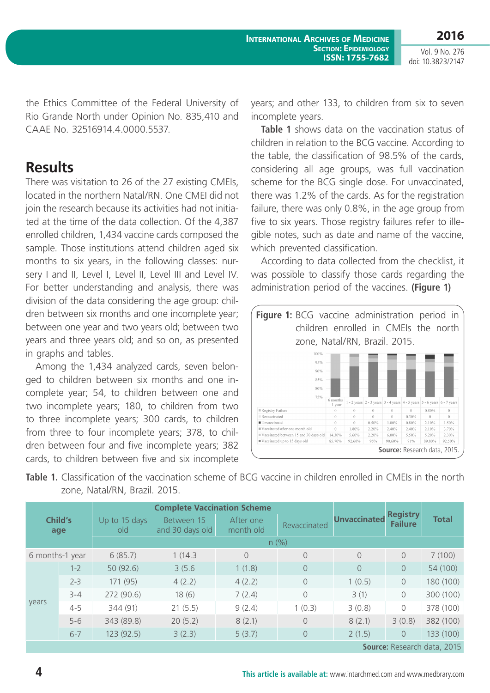**2016**

the Ethics Committee of the Federal University of Rio Grande North under Opinion No. 835,410 and CAAE No. 32516914.4.0000.5537.

#### **Results**

There was visitation to 26 of the 27 existing CMEIs, located in the northern Natal/RN. One CMEI did not join the research because its activities had not initiated at the time of the data collection. Of the 4,387 enrolled children, 1,434 vaccine cards composed the sample. Those institutions attend children aged six months to six years, in the following classes: nursery I and II, Level I, Level II, Level III and Level IV. For better understanding and analysis, there was division of the data considering the age group: children between six months and one incomplete year; between one year and two years old; between two years and three years old; and so on, as presented in graphs and tables.

Among the 1,434 analyzed cards, seven belonged to children between six months and one incomplete year; 54, to children between one and two incomplete years; 180, to children from two to three incomplete years; 300 cards, to children from three to four incomplete years; 378, to children between four and five incomplete years; 382 cards, to children between five and six incomplete years; and other 133, to children from six to seven incomplete years.

**Table 1** shows data on the vaccination status of children in relation to the BCG vaccine. According to the table, the classification of 98.5% of the cards, considering all age groups, was full vaccination scheme for the BCG single dose. For unvaccinated, there was 1.2% of the cards. As for the registration failure, there was only 0.8%, in the age group from five to six years. Those registry failures refer to illegible notes, such as date and name of the vaccine, which prevented classification.

According to data collected from the checklist, it was possible to classify those cards regarding the administration period of the vaccines. **(Figure 1)**



| <b>Table 1.</b> Classification of the vaccination scheme of BCG vaccine in children enrolled in CMEIs in the north |  |  |  |  |
|--------------------------------------------------------------------------------------------------------------------|--|--|--|--|
| zone, Natal/RN, Brazil. 2015.                                                                                      |  |  |  |  |

| Child's<br>age              |         |                      |                               |                        |              |                     |                                   |              |  |
|-----------------------------|---------|----------------------|-------------------------------|------------------------|--------------|---------------------|-----------------------------------|--------------|--|
|                             |         | Up to 15 days<br>old | Between 15<br>and 30 days old | After one<br>month old | Revaccinated | <b>Unvaccinated</b> | <b>Registry</b><br><b>Failure</b> | <b>Total</b> |  |
|                             |         | n (%)                |                               |                        |              |                     |                                   |              |  |
| 6 months-1 year             |         | 6(85.7)              | 1(14.3)                       | $\Omega$               | $\circ$      | $\overline{0}$      | $\overline{0}$                    | 7(100)       |  |
| years                       | $1 - 2$ | 50 (92.6)            | 3(5.6)                        | 1(1.8)                 | $\Omega$     | $\Omega$            | $\Omega$                          | 54 (100)     |  |
|                             | $2 - 3$ | 171 (95)             | 4(2.2)                        | 4(2.2)                 | $\Omega$     | 1(0.5)              | $\circ$                           | 180 (100)    |  |
|                             | $3 - 4$ | 272 (90.6)           | 18(6)                         | 7(2.4)                 | $\Omega$     | 3(1)                | $\Omega$                          | 300 (100)    |  |
|                             | $4 - 5$ | 344 (91)             | 21(5.5)                       | 9(2.4)                 | 1(0.3)       | 3(0.8)              | $\Omega$                          | 378 (100)    |  |
|                             | $5 - 6$ | 343 (89.8)           | 20(5.2)                       | 8(2.1)                 | $\bigcap$    | 8(2.1)              | 3(0.8)                            | 382 (100)    |  |
|                             | $6 - 7$ | 123(92.5)            | 3(2.3)                        | 5(3.7)                 | $\Omega$     | 2(1.5)              | $\Omega$                          | 133 (100)    |  |
| Source: Research data, 2015 |         |                      |                               |                        |              |                     |                                   |              |  |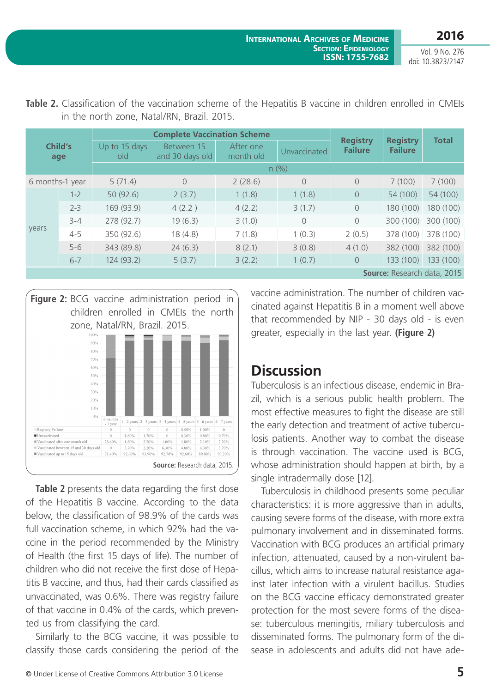| Child's<br>age              |         | <b>Complete Vaccination Scheme</b> |                               |                        |              |                                   |                                   |              |  |
|-----------------------------|---------|------------------------------------|-------------------------------|------------------------|--------------|-----------------------------------|-----------------------------------|--------------|--|
|                             |         | Up to 15 days<br>old               | Between 15<br>and 30 days old | After one<br>month old | Unvaccinated | <b>Registry</b><br><b>Failure</b> | <b>Registry</b><br><b>Failure</b> | <b>Total</b> |  |
|                             |         | n (%)                              |                               |                        |              |                                   |                                   |              |  |
| 6 months-1 year             |         | 5(71.4)                            | 0                             | 2(28.6)                | $\Omega$     | $\overline{0}$                    | 7(100)                            | 7(100)       |  |
| years                       | $1 - 2$ | 50(92.6)                           | 2(3.7)                        | 1(1.8)                 | 1(1.8)       | $\overline{0}$                    | 54 (100)                          | 54 (100)     |  |
|                             | $2 - 3$ | 169 (93.9)                         | 4(2.2)                        | 4(2.2)                 | 3(1.7)       | $\circ$                           | 180 (100)                         | 180 (100)    |  |
|                             | $3 - 4$ | 278 (92.7)                         | 19(6.3)                       | 3(1.0)                 | $\Omega$     | $\overline{0}$                    | 300 (100)                         | 300 (100)    |  |
|                             | $4 - 5$ | 350 (92.6)                         | 18(4.8)                       | 7(1.8)                 | 1(0.3)       | 2(0.5)                            | 378 (100)                         | 378 (100)    |  |
|                             | $5 - 6$ | 343 (89.8)                         | 24(6.3)                       | 8(2.1)                 | 3(0.8)       | 4(1.0)                            | 382 (100)                         | 382 (100)    |  |
|                             | $6 - 7$ | 124 (93.2)                         | 5(3.7)                        | 3(2.2)                 | 1(0.7)       | $\overline{0}$                    | 133 (100)                         | 133 (100)    |  |
| Source: Research data, 2015 |         |                                    |                               |                        |              |                                   |                                   |              |  |

**Table 2.** Classification of the vaccination scheme of the Hepatitis B vaccine in children enrolled in CMEIs in the north zone, Natal/RN, Brazil. 2015.



**Table 2** presents the data regarding the first dose of the Hepatitis B vaccine. According to the data below, the classification of 98.9% of the cards was full vaccination scheme, in which 92% had the vaccine in the period recommended by the Ministry of Health (the first 15 days of life). The number of children who did not receive the first dose of Hepatitis B vaccine, and thus, had their cards classified as unvaccinated, was 0.6%. There was registry failure of that vaccine in 0.4% of the cards, which prevented us from classifying the card.

Similarly to the BCG vaccine, it was possible to classify those cards considering the period of the vaccine administration. The number of children vaccinated against Hepatitis B in a moment well above that recommended by NIP - 30 days old - is even greater, especially in the last year. **(Figure 2)**

## **Discussion**

Tuberculosis is an infectious disease, endemic in Brazil, which is a serious public health problem. The most effective measures to fight the disease are still the early detection and treatment of active tuberculosis patients. Another way to combat the disease is through vaccination. The vaccine used is BCG, whose administration should happen at birth, by a single intradermally dose [12].

Tuberculosis in childhood presents some peculiar characteristics: it is more aggressive than in adults, causing severe forms of the disease, with more extra pulmonary involvement and in disseminated forms. Vaccination with BCG produces an artificial primary infection, attenuated, caused by a non-virulent bacillus, which aims to increase natural resistance against later infection with a virulent bacillus. Studies on the BCG vaccine efficacy demonstrated greater protection for the most severe forms of the disease: tuberculous meningitis, miliary tuberculosis and disseminated forms. The pulmonary form of the disease in adolescents and adults did not have ade-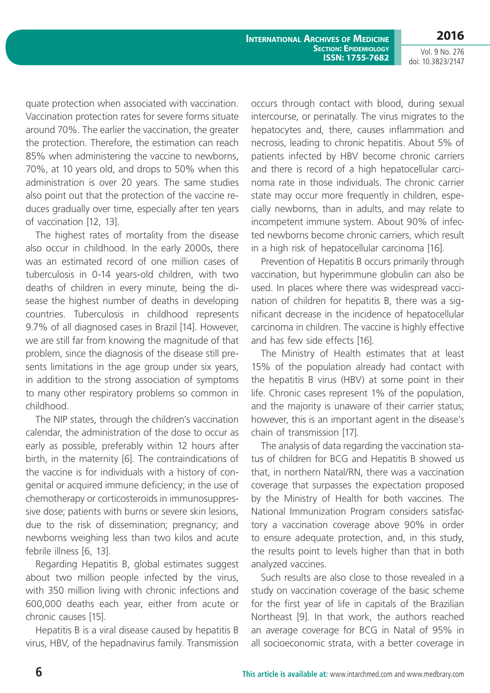**2016**

Vol. 9 No. 276 doi: 10.3823/2147

quate protection when associated with vaccination. Vaccination protection rates for severe forms situate around 70%. The earlier the vaccination, the greater the protection. Therefore, the estimation can reach 85% when administering the vaccine to newborns, 70%, at 10 years old, and drops to 50% when this administration is over 20 years. The same studies also point out that the protection of the vaccine reduces gradually over time, especially after ten years of vaccination [12, 13].

The highest rates of mortality from the disease also occur in childhood. In the early 2000s, there was an estimated record of one million cases of tuberculosis in 0-14 years-old children, with two deaths of children in every minute, being the disease the highest number of deaths in developing countries. Tuberculosis in childhood represents 9.7% of all diagnosed cases in Brazil [14]. However, we are still far from knowing the magnitude of that problem, since the diagnosis of the disease still presents limitations in the age group under six years, in addition to the strong association of symptoms to many other respiratory problems so common in childhood.

The NIP states, through the children's vaccination calendar, the administration of the dose to occur as early as possible, preferably within 12 hours after birth, in the maternity [6]. The contraindications of the vaccine is for individuals with a history of congenital or acquired immune deficiency; in the use of chemotherapy or corticosteroids in immunosuppressive dose; patients with burns or severe skin lesions, due to the risk of dissemination; pregnancy; and newborns weighing less than two kilos and acute febrile illness [6, 13].

Regarding Hepatitis B, global estimates suggest about two million people infected by the virus, with 350 million living with chronic infections and 600,000 deaths each year, either from acute or chronic causes [15].

Hepatitis B is a viral disease caused by hepatitis B virus, HBV, of the hepadnavirus family. Transmission occurs through contact with blood, during sexual intercourse, or perinatally. The virus migrates to the hepatocytes and, there, causes inflammation and necrosis, leading to chronic hepatitis. About 5% of patients infected by HBV become chronic carriers and there is record of a high hepatocellular carcinoma rate in those individuals. The chronic carrier state may occur more frequently in children, especially newborns, than in adults, and may relate to incompetent immune system. About 90% of infected newborns become chronic carriers, which result in a high risk of hepatocellular carcinoma [16].

Prevention of Hepatitis B occurs primarily through vaccination, but hyperimmune globulin can also be used. In places where there was widespread vaccination of children for hepatitis B, there was a significant decrease in the incidence of hepatocellular carcinoma in children. The vaccine is highly effective and has few side effects [16].

The Ministry of Health estimates that at least 15% of the population already had contact with the hepatitis B virus (HBV) at some point in their life. Chronic cases represent 1% of the population, and the majority is unaware of their carrier status; however, this is an important agent in the disease's chain of transmission [17].

The analysis of data regarding the vaccination status of children for BCG and Hepatitis B showed us that, in northern Natal/RN, there was a vaccination coverage that surpasses the expectation proposed by the Ministry of Health for both vaccines. The National Immunization Program considers satisfactory a vaccination coverage above 90% in order to ensure adequate protection, and, in this study, the results point to levels higher than that in both analyzed vaccines.

Such results are also close to those revealed in a study on vaccination coverage of the basic scheme for the first year of life in capitals of the Brazilian Northeast [9]. In that work, the authors reached an average coverage for BCG in Natal of 95% in all socioeconomic strata, with a better coverage in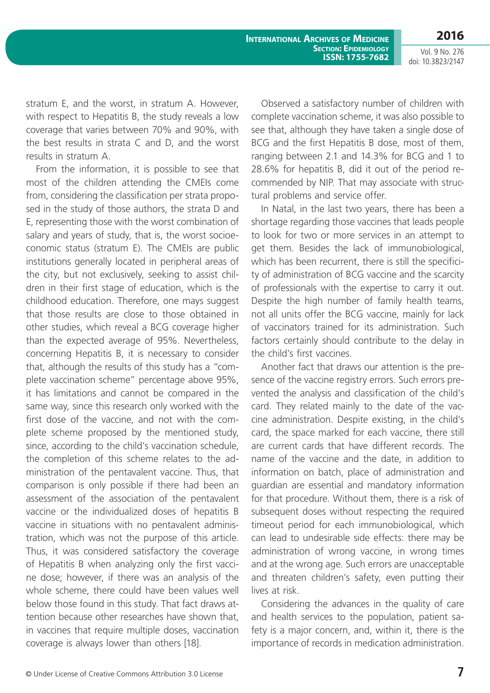Vol. 9 No. 276 doi: 10.3823/2147

**2016**

stratum E, and the worst, in stratum A. However, with respect to Hepatitis B, the study reveals a low coverage that varies between 70% and 90%, with the best results in strata C and D, and the worst results in stratum A.

From the information, it is possible to see that most of the children attending the CMEIs come from, considering the classification per strata proposed in the study of those authors, the strata D and E, representing those with the worst combination of salary and years of study, that is, the worst socioeconomic status (stratum E). The CMEIs are public institutions generally located in peripheral areas of the city, but not exclusively, seeking to assist children in their first stage of education, which is the childhood education. Therefore, one mays suggest that those results are close to those obtained in other studies, which reveal a BCG coverage higher than the expected average of 95%. Nevertheless, concerning Hepatitis B, it is necessary to consider that, although the results of this study has a "complete vaccination scheme" percentage above 95%, it has limitations and cannot be compared in the same way, since this research only worked with the first dose of the vaccine, and not with the complete scheme proposed by the mentioned study, since, according to the child's vaccination schedule, the completion of this scheme relates to the administration of the pentavalent vaccine. Thus, that comparison is only possible if there had been an assessment of the association of the pentavalent vaccine or the individualized doses of hepatitis B vaccine in situations with no pentavalent administration, which was not the purpose of this article. Thus, it was considered satisfactory the coverage of Hepatitis B when analyzing only the first vaccine dose; however, if there was an analysis of the whole scheme, there could have been values well below those found in this study. That fact draws attention because other researches have shown that, in vaccines that require multiple doses, vaccination coverage is always lower than others [18].

Observed a satisfactory number of children with complete vaccination scheme, it was also possible to see that, although they have taken a single dose of BCG and the first Hepatitis B dose, most of them, ranging between 2.1 and 14.3% for BCG and 1 to 28.6% for hepatitis B, did it out of the period recommended by NIP. That may associate with structural problems and service offer.

In Natal, in the last two years, there has been a shortage regarding those vaccines that leads people to look for two or more services in an attempt to get them. Besides the lack of immunobiological, which has been recurrent, there is still the specificity of administration of BCG vaccine and the scarcity of professionals with the expertise to carry it out. Despite the high number of family health teams, not all units offer the BCG vaccine, mainly for lack of vaccinators trained for its administration. Such factors certainly should contribute to the delay in the child's first vaccines.

Another fact that draws our attention is the presence of the vaccine registry errors. Such errors prevented the analysis and classification of the child's card. They related mainly to the date of the vaccine administration. Despite existing, in the child's card, the space marked for each vaccine, there still are current cards that have different records. The name of the vaccine and the date, in addition to information on batch, place of administration and guardian are essential and mandatory information for that procedure. Without them, there is a risk of subsequent doses without respecting the required timeout period for each immunobiological, which can lead to undesirable side effects: there may be administration of wrong vaccine, in wrong times and at the wrong age. Such errors are unacceptable and threaten children's safety, even putting their lives at risk.

Considering the advances in the quality of care and health services to the population, patient safety is a major concern, and, within it, there is the importance of records in medication administration.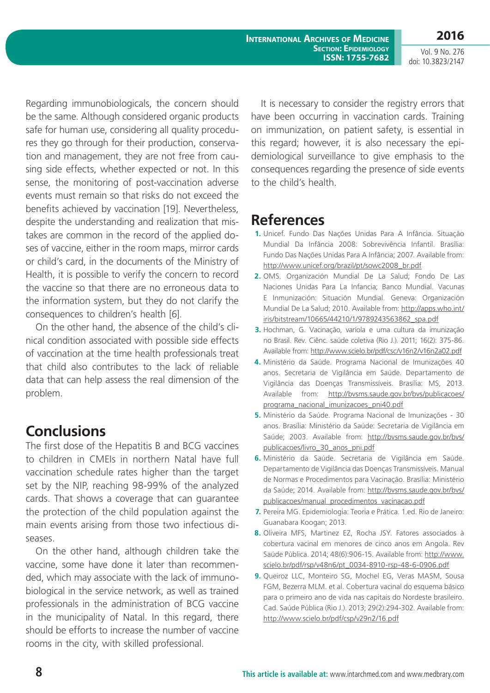**2016**

Vol. 9 No. 276 doi: 10.3823/2147

Regarding immunobiologicals, the concern should be the same. Although considered organic products safe for human use, considering all quality procedures they go through for their production, conservation and management, they are not free from causing side effects, whether expected or not. In this sense, the monitoring of post-vaccination adverse events must remain so that risks do not exceed the benefits achieved by vaccination [19]. Nevertheless, despite the understanding and realization that mistakes are common in the record of the applied doses of vaccine, either in the room maps, mirror cards or child's card, in the documents of the Ministry of Health, it is possible to verify the concern to record the vaccine so that there are no erroneous data to the information system, but they do not clarify the consequences to children's health [6].

On the other hand, the absence of the child's clinical condition associated with possible side effects of vaccination at the time health professionals treat that child also contributes to the lack of reliable data that can help assess the real dimension of the problem.

### **Conclusions**

The first dose of the Hepatitis B and BCG vaccines to children in CMEIs in northern Natal have full vaccination schedule rates higher than the target set by the NIP, reaching 98-99% of the analyzed cards. That shows a coverage that can guarantee the protection of the child population against the main events arising from those two infectious diseases.

On the other hand, although children take the vaccine, some have done it later than recommended, which may associate with the lack of immunobiological in the service network, as well as trained professionals in the administration of BCG vaccine in the municipality of Natal. In this regard, there should be efforts to increase the number of vaccine rooms in the city, with skilled professional.

It is necessary to consider the registry errors that have been occurring in vaccination cards. Training on immunization, on patient safety, is essential in this regard; however, it is also necessary the epidemiological surveillance to give emphasis to the consequences regarding the presence of side events to the child's health.

### **References**

- **1.** Unicef. Fundo Das Nações Unidas Para A Infância. Situação Mundial Da Infância 2008: Sobrevivência Infantil. Brasília: Fundo Das Nações Unidas Para A Infância; 2007. Available from: http://www.unicef.org/brazil/pt/sowc2008\_br.pdf
- **2.** OMS. Organización Mundial De La Salud; Fondo De Las Naciones Unidas Para La Infancia; Banco Mundial. Vacunas E Inmunización: Situación Mundial. Geneva: Organización Mundial De La Salud; 2010. Available from: http://apps.who.int/ iris/bitstream/10665/44210/1/9789243563862\_spa.pdf
- **3.** Hochman, G. Vacinação, varíola e uma cultura da imunização no Brasil. Rev. Ciênc. saúde coletiva (Rio J.). 2011; 16(2): 375-86. Available from: http://www.scielo.br/pdf/csc/v16n2/v16n2a02.pdf
- **4.** Ministério da Saúde. Programa Nacional de Imunizações 40 anos. Secretaria de Vigilância em Saúde. Departamento de Vigilância das Doenças Transmissíveis. Brasília: MS, 2013. Available from: http://bvsms.saude.gov.br/bvs/publicacoes/ programa\_nacional\_imunizacoes\_pni40.pdf
- **5.** Ministério da Saúde. Programa Nacional de Imunizações 30 anos. Brasília: Ministério da Saúde: Secretaria de Vigilância em Saúde; 2003. Available from: http://bvsms.saude.gov.br/bvs/ publicacoes/livro\_30\_anos\_pni.pdf
- **6.** Ministério da Saúde. Secretaria de Vigilância em Saúde. Departamento de Vigilância das Doenças Transmissíveis. Manual de Normas e Procedimentos para Vacinação. Brasília: Ministério da Saúde; 2014. Available from: http://bvsms.saude.gov.br/bvs/ publicacoes/manual\_procedimentos\_vacinacao.pdf
- **7.** Pereira MG. Epidemiologia: Teoria e Prática. 1.ed. Rio de Janeiro: Guanabara Koogan; 2013.
- **8.** Oliveira MFS, Martinez EZ, Rocha JSY. Fatores associados à cobertura vacinal em menores de cinco anos em Angola. Rev Saúde Pública. 2014; 48(6):906-15. Available from: http://www. scielo.br/pdf/rsp/v48n6/pt\_0034-8910-rsp-48-6-0906.pdf
- **9.** Queiroz LLC, Monteiro SG, Mochel EG, Veras MASM, Sousa FGM, Bezerra MLM. et al. Cobertura vacinal do esquema básico para o primeiro ano de vida nas capitais do Nordeste brasileiro. Cad. Saúde Pública (Rio J.). 2013; 29(2):294-302. Available from: http://www.scielo.br/pdf/csp/v29n2/16.pdf